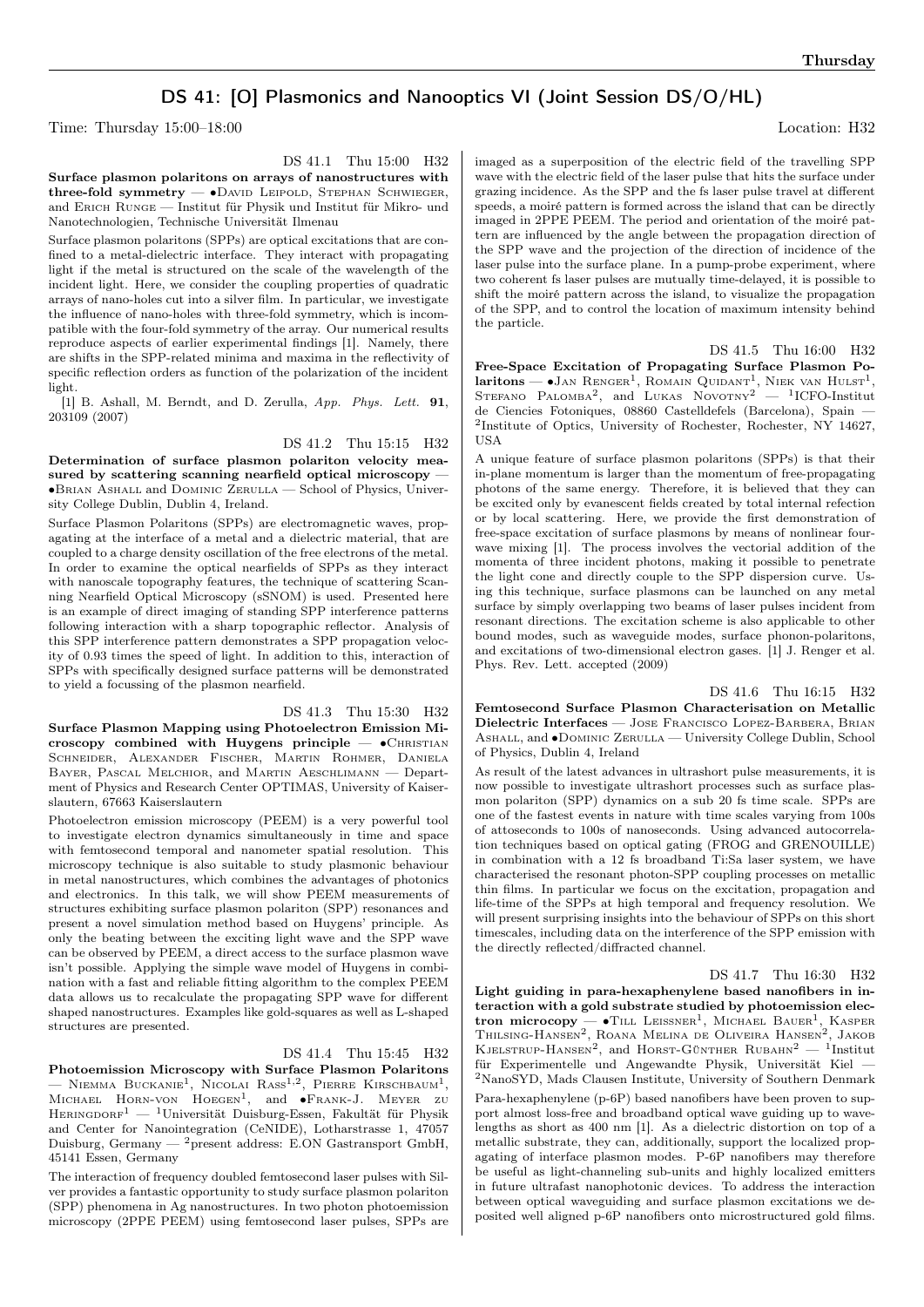## DS 41: [O] Plasmonics and Nanooptics VI (Joint Session DS/O/HL)

Time: Thursday  $15:00-18:00$  Location: H32

DS 41.1 Thu 15:00 H32

Surface plasmon polaritons on arrays of nanostructures with three-fold symmetry — ∙David Leipold, Stephan Schwieger, and Erich Runge — Institut für Physik und Institut für Mikro- und Nanotechnologien, Technische Universität Ilmenau

Surface plasmon polaritons (SPPs) are optical excitations that are confined to a metal-dielectric interface. They interact with propagating light if the metal is structured on the scale of the wavelength of the incident light. Here, we consider the coupling properties of quadratic arrays of nano-holes cut into a silver film. In particular, we investigate the influence of nano-holes with three-fold symmetry, which is incompatible with the four-fold symmetry of the array. Our numerical results reproduce aspects of earlier experimental findings [1]. Namely, there are shifts in the SPP-related minima and maxima in the reflectivity of specific reflection orders as function of the polarization of the incident light.

[1] B. Ashall, M. Berndt, and D. Zerulla, App. Phys. Lett. 91, 203109 (2007)

DS 41.2 Thu 15:15 H32

Determination of surface plasmon polariton velocity measured by scattering scanning nearfield optical microscopy — ∙Brian Ashall and Dominic Zerulla — School of Physics, University College Dublin, Dublin 4, Ireland.

Surface Plasmon Polaritons (SPPs) are electromagnetic waves, propagating at the interface of a metal and a dielectric material, that are coupled to a charge density oscillation of the free electrons of the metal. In order to examine the optical nearfields of SPPs as they interact with nanoscale topography features, the technique of scattering Scanning Nearfield Optical Microscopy (sSNOM) is used. Presented here is an example of direct imaging of standing SPP interference patterns following interaction with a sharp topographic reflector. Analysis of this SPP interference pattern demonstrates a SPP propagation velocity of 0.93 times the speed of light. In addition to this, interaction of SPPs with specifically designed surface patterns will be demonstrated to yield a focussing of the plasmon nearfield.

DS 41.3 Thu 15:30 H32

Surface Plasmon Mapping using Photoelectron Emission Microscopy combined with Huygens principle — ∙Christian SCHNEIDER, ALEXANDER FISCHER, MARTIN ROHMER, DANIELA BAYER, PASCAL MELCHIOR, and MARTIN AESCHLIMANN — Department of Physics and Research Center OPTIMAS, University of Kaiserslautern, 67663 Kaiserslautern

Photoelectron emission microscopy (PEEM) is a very powerful tool to investigate electron dynamics simultaneously in time and space with femtosecond temporal and nanometer spatial resolution. This microscopy technique is also suitable to study plasmonic behaviour in metal nanostructures, which combines the advantages of photonics and electronics. In this talk, we will show PEEM measurements of structures exhibiting surface plasmon polariton (SPP) resonances and present a novel simulation method based on Huygens' principle. As only the beating between the exciting light wave and the SPP wave can be observed by PEEM, a direct access to the surface plasmon wave isn't possible. Applying the simple wave model of Huygens in combination with a fast and reliable fitting algorithm to the complex PEEM data allows us to recalculate the propagating SPP wave for different shaped nanostructures. Examples like gold-squares as well as L-shaped structures are presented.

DS 41.4 Thu 15:45 H32

Photoemission Microscopy with Surface Plasmon Polaritons — NIEMMA BUCKANIE<sup>1</sup>, NICOLAI RASS<sup>1,2</sup>, PIERRE KIRSCHBAUM<sup>1</sup>, MICHAEL HORN-VON  $H$ OEGEN<sup>1</sup>, and •Frank-J. Meyer zu HERINGDORF<sup>1</sup> — <sup>1</sup>Universität Duisburg-Essen, Fakultät für Physik and Center for Nanointegration (CeNIDE), Lotharstrasse 1, 47057 Duisburg, Germany —  $^2\rm{present}$  address: E.ON Gastransport GmbH, 45141 Essen, Germany

The interaction of frequency doubled femtosecond laser pulses with Silver provides a fantastic opportunity to study surface plasmon polariton (SPP) phenomena in Ag nanostructures. In two photon photoemission microscopy (2PPE PEEM) using femtosecond laser pulses, SPPs are imaged as a superposition of the electric field of the travelling SPP wave with the electric field of the laser pulse that hits the surface under grazing incidence. As the SPP and the fs laser pulse travel at different speeds, a moiré pattern is formed across the island that can be directly imaged in 2PPE PEEM. The period and orientation of the moiré pattern are influenced by the angle between the propagation direction of the SPP wave and the projection of the direction of incidence of the laser pulse into the surface plane. In a pump-probe experiment, where two coherent fs laser pulses are mutually time-delayed, it is possible to shift the moiré pattern across the island, to visualize the propagation of the SPP, and to control the location of maximum intensity behind the particle.

DS 41.5 Thu 16:00 H32 Free-Space Excitation of Propagating Surface Plasmon Po**laritons** —  $\bullet$  Jan Renger<sup>1</sup>, Romain Quidant<sup>1</sup>, Niek van Hulst<sup>1</sup>, Stefano Palomba<sup>2</sup>, and Lukas Novotny<sup>2</sup> — <sup>1</sup>ICFO-Institut de Ciencies Fotoniques, 08860 Castelldefels (Barcelona), Spain — 2 Institute of Optics, University of Rochester, Rochester, NY 14627, **USA** 

A unique feature of surface plasmon polaritons (SPPs) is that their in-plane momentum is larger than the momentum of free-propagating photons of the same energy. Therefore, it is believed that they can be excited only by evanescent fields created by total internal refection or by local scattering. Here, we provide the first demonstration of free-space excitation of surface plasmons by means of nonlinear fourwave mixing [1]. The process involves the vectorial addition of the momenta of three incident photons, making it possible to penetrate the light cone and directly couple to the SPP dispersion curve. Using this technique, surface plasmons can be launched on any metal surface by simply overlapping two beams of laser pulses incident from resonant directions. The excitation scheme is also applicable to other bound modes, such as waveguide modes, surface phonon-polaritons, and excitations of two-dimensional electron gases. [1] J. Renger et al. Phys. Rev. Lett. accepted (2009)

DS 41.6 Thu 16:15 H32 Femtosecond Surface Plasmon Characterisation on Metallic Dielectric Interfaces — Jose Francisco Lopez-Barbera, Brian Ashall, and ∙Dominic Zerulla — University College Dublin, School of Physics, Dublin 4, Ireland

As result of the latest advances in ultrashort pulse measurements, it is now possible to investigate ultrashort processes such as surface plasmon polariton (SPP) dynamics on a sub 20 fs time scale. SPPs are one of the fastest events in nature with time scales varying from 100s of attoseconds to 100s of nanoseconds. Using advanced autocorrelation techniques based on optical gating (FROG and GRENOUILLE) in combination with a 12 fs broadband Ti:Sa laser system, we have characterised the resonant photon-SPP coupling processes on metallic thin films. In particular we focus on the excitation, propagation and life-time of the SPPs at high temporal and frequency resolution. We will present surprising insights into the behaviour of SPPs on this short timescales, including data on the interference of the SPP emission with the directly reflected/diffracted channel.

DS 41.7 Thu 16:30 H32 Light guiding in para-hexaphenylene based nanofibers in interaction with a gold substrate studied by photoemission electron microcopy — •Till Leissner<sup>1</sup>, Michael Bauer<sup>1</sup>, Kasper<br>Thilsing-Hansen<sup>2</sup>, Roana Melina de Oliveira Hansen<sup>2</sup>, Jakob KJELSTRUP-HANSEN<sup>2</sup>, and HORST-GÜNTHER RUBAHN<sup>2</sup> - <sup>1</sup>Institut für Experimentelle und Angewandte Physik, Universität Kiel — <sup>2</sup>NanoSYD, Mads Clausen Institute, University of Southern Denmark Para-hexaphenylene (p-6P) based nanofibers have been proven to support almost loss-free and broadband optical wave guiding up to wavelengths as short as 400 nm [1]. As a dielectric distortion on top of a metallic substrate, they can, additionally, support the localized propagating of interface plasmon modes. P-6P nanofibers may therefore be useful as light-channeling sub-units and highly localized emitters in future ultrafast nanophotonic devices. To address the interaction between optical waveguiding and surface plasmon excitations we deposited well aligned p-6P nanofibers onto microstructured gold films.